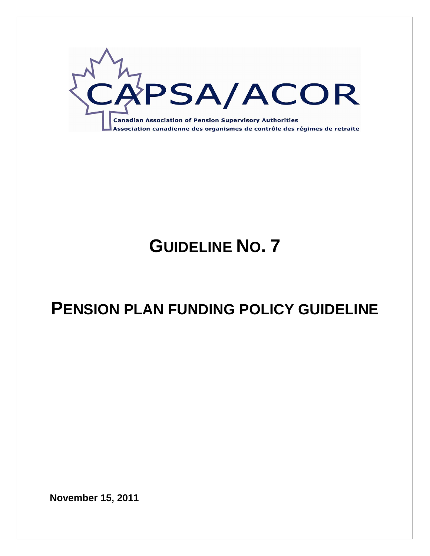

# **GUIDELINE NO. 7**

# **PENSION PLAN FUNDING POLICY GUIDELINE**

**November 15, 2011**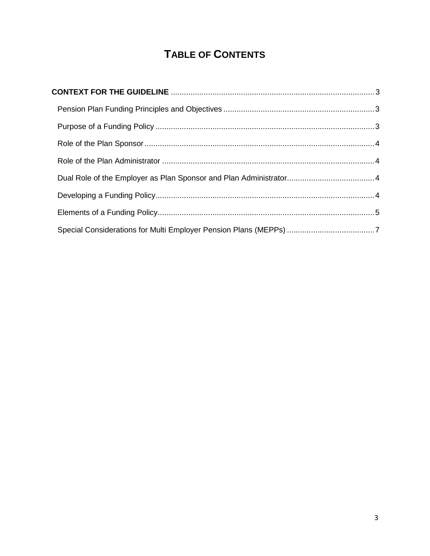## **TABLE OF CONTENTS**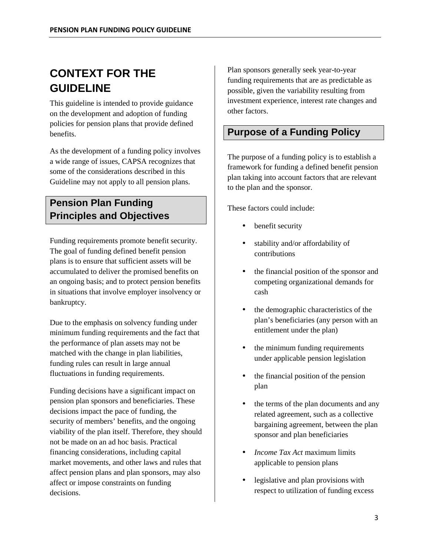## **CONTEXT FOR THE GUIDELINE**

This guideline is intended to provide guidance on the development and adoption of funding policies for pension plans that provide defined benefits.

As the development of a funding policy involves a wide range of issues, CAPSA recognizes that some of the considerations described in this Guideline may not apply to all pension plans.

## **Pension Plan Funding Principles and Objectives**

Funding requirements promote benefit security. The goal of funding defined benefit pension plans is to ensure that sufficient assets will be accumulated to deliver the promised benefits on an ongoing basis; and to protect pension benefits in situations that involve employer insolvency or bankruptcy.

Due to the emphasis on solvency funding under minimum funding requirements and the fact that the performance of plan assets may not be matched with the change in plan liabilities, funding rules can result in large annual fluctuations in funding requirements.

Funding decisions have a significant impact on pension plan sponsors and beneficiaries. These decisions impact the pace of funding, the security of members' benefits, and the ongoing viability of the plan itself. Therefore, they should not be made on an ad hoc basis. Practical financing considerations, including capital market movements, and other laws and rules that affect pension plans and plan sponsors, may also affect or impose constraints on funding decisions.

Plan sponsors generally seek year-to-year funding requirements that are as predictable as possible, given the variability resulting from investment experience, interest rate changes and other factors.

## **Purpose of a Funding Policy**

The purpose of a funding policy is to establish a framework for funding a defined benefit pension plan taking into account factors that are relevant to the plan and the sponsor.

These factors could include:

- benefit security
- stability and/or affordability of contributions
- the financial position of the sponsor and competing organizational demands for cash
- the demographic characteristics of the plan's beneficiaries (any person with an entitlement under the plan)
- the minimum funding requirements under applicable pension legislation
- the financial position of the pension plan
- the terms of the plan documents and any related agreement, such as a collective bargaining agreement, between the plan sponsor and plan beneficiaries
- *Income Tax Act* maximum limits applicable to pension plans
- legislative and plan provisions with respect to utilization of funding excess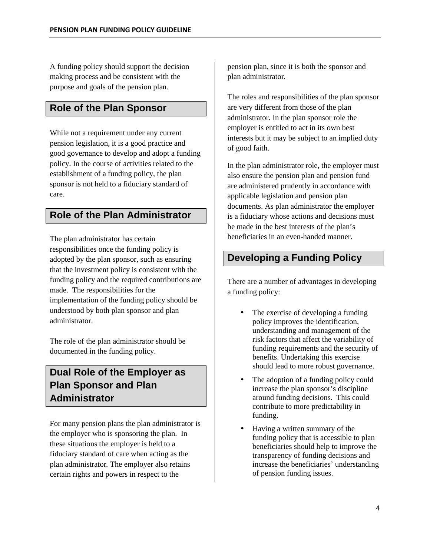A funding policy should support the decision making process and be consistent with the purpose and goals of the pension plan.

### **Role of the Plan Sponsor**

While not a requirement under any current pension legislation, it is a good practice and good governance to develop and adopt a funding policy. In the course of activities related to the establishment of a funding policy, the plan sponsor is not held to a fiduciary standard of care.

## **Role of the Plan Administrator**

The plan administrator has certain responsibilities once the funding policy is adopted by the plan sponsor, such as ensuring that the investment policy is consistent with the funding policy and the required contributions are made. The responsibilities for the implementation of the funding policy should be understood by both plan sponsor and plan administrator.

The role of the plan administrator should be documented in the funding policy.

## **Dual Role of the Employer as Plan Sponsor and Plan Administrator**

For many pension plans the plan administrator is the employer who is sponsoring the plan. In these situations the employer is held to a fiduciary standard of care when acting as the plan administrator*.* The employer also retains certain rights and powers in respect to the

pension plan, since it is both the sponsor and plan administrator*.* 

The roles and responsibilities of the plan sponsor are very different from those of the plan administrator*.* In the plan sponsor role the employer is entitled to act in its own best interests but it may be subject to an implied duty of good faith.

In the plan administrator role*,* the employer must also ensure the pension plan and pension fund are administered prudently in accordance with applicable legislation and pension plan documents. As plan administrator the employer is a fiduciary whose actions and decisions must be made in the best interests of the plan's beneficiaries in an even-handed manner.

## **Developing a Funding Policy**

There are a number of advantages in developing a funding policy:

- The exercise of developing a funding policy improves the identification, understanding and management of the risk factors that affect the variability of funding requirements and the security of benefits. Undertaking this exercise should lead to more robust governance.
- The adoption of a funding policy could increase the plan sponsor's discipline around funding decisions. This could contribute to more predictability in funding.
- Having a written summary of the funding policy that is accessible to plan beneficiaries should help to improve the transparency of funding decisions and increase the beneficiaries' understanding of pension funding issues.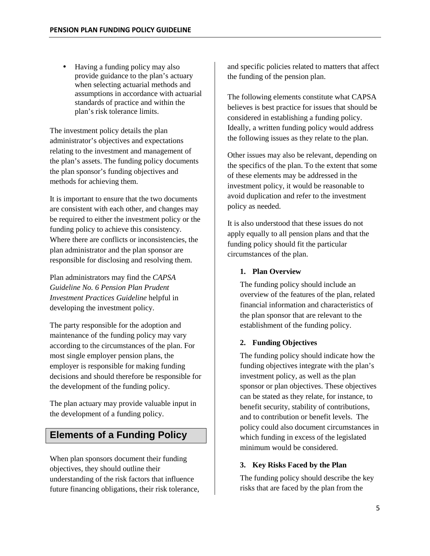• Having a funding policy may also provide guidance to the plan's actuary when selecting actuarial methods and assumptions in accordance with actuarial standards of practice and within the plan's risk tolerance limits.

The investment policy details the plan administrator's objectives and expectations relating to the investment and management of the plan's assets. The funding policy documents the plan sponsor's funding objectives and methods for achieving them.

It is important to ensure that the two documents are consistent with each other, and changes may be required to either the investment policy or the funding policy to achieve this consistency. Where there are conflicts or inconsistencies, the plan administrator and the plan sponsor are responsible for disclosing and resolving them.

Plan administrators may find the *CAPSA Guideline No. 6 Pension Plan Prudent Investment Practices Guideline* helpful in developing the investment policy.

The party responsible for the adoption and maintenance of the funding policy may vary according to the circumstances of the plan. For most single employer pension plans, the employer is responsible for making funding decisions and should therefore be responsible for the development of the funding policy.

The plan actuary may provide valuable input in the development of a funding policy.

### **Elements of a Funding Policy**

When plan sponsors document their funding objectives, they should outline their understanding of the risk factors that influence future financing obligations, their risk tolerance,

and specific policies related to matters that affect the funding of the pension plan.

The following elements constitute what CAPSA believes is best practice for issues that should be considered in establishing a funding policy. Ideally, a written funding policy would address the following issues as they relate to the plan.

Other issues may also be relevant, depending on the specifics of the plan. To the extent that some of these elements may be addressed in the investment policy, it would be reasonable to avoid duplication and refer to the investment policy as needed.

It is also understood that these issues do not apply equally to all pension plans and that the funding policy should fit the particular circumstances of the plan.

#### **1. Plan Overview**

The funding policy should include an overview of the features of the plan, related financial information and characteristics of the plan sponsor that are relevant to the establishment of the funding policy.

#### **2. Funding Objectives**

The funding policy should indicate how the funding objectives integrate with the plan's investment policy, as well as the plan sponsor or plan objectives. These objectives can be stated as they relate, for instance, to benefit security, stability of contributions, and to contribution or benefit levels. The policy could also document circumstances in which funding in excess of the legislated minimum would be considered.

#### **3. Key Risks Faced by the Plan**

The funding policy should describe the key risks that are faced by the plan from the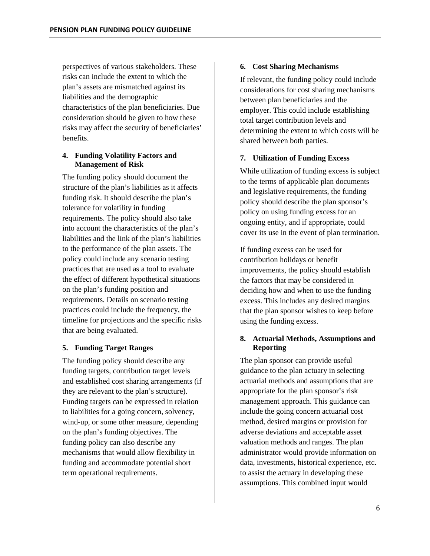perspectives of various stakeholders. These risks can include the extent to which the plan's assets are mismatched against its liabilities and the demographic characteristics of the plan beneficiaries. Due consideration should be given to how these risks may affect the security of beneficiaries' benefits.

#### **4. Funding Volatility Factors and Management of Risk**

The funding policy should document the structure of the plan's liabilities as it affects funding risk. It should describe the plan's tolerance for volatility in funding requirements. The policy should also take into account the characteristics of the plan's liabilities and the link of the plan's liabilities to the performance of the plan assets. The policy could include any scenario testing practices that are used as a tool to evaluate the effect of different hypothetical situations on the plan's funding position and requirements. Details on scenario testing practices could include the frequency, the timeline for projections and the specific risks that are being evaluated.

#### **5. Funding Target Ranges**

The funding policy should describe any funding targets, contribution target levels and established cost sharing arrangements (if they are relevant to the plan's structure). Funding targets can be expressed in relation to liabilities for a going concern, solvency, wind-up, or some other measure, depending on the plan's funding objectives. The funding policy can also describe any mechanisms that would allow flexibility in funding and accommodate potential short term operational requirements.

#### **6. Cost Sharing Mechanisms**

If relevant, the funding policy could include considerations for cost sharing mechanisms between plan beneficiaries and the employer. This could include establishing total target contribution levels and determining the extent to which costs will be shared between both parties.

#### **7. Utilization of Funding Excess**

While utilization of funding excess is subject to the terms of applicable plan documents and legislative requirements, the funding policy should describe the plan sponsor's policy on using funding excess for an ongoing entity, and if appropriate, could cover its use in the event of plan termination.

If funding excess can be used for contribution holidays or benefit improvements, the policy should establish the factors that may be considered in deciding how and when to use the funding excess. This includes any desired margins that the plan sponsor wishes to keep before using the funding excess.

#### **8. Actuarial Methods, Assumptions and Reporting**

The plan sponsor can provide useful guidance to the plan actuary in selecting actuarial methods and assumptions that are appropriate for the plan sponsor's risk management approach. This guidance can include the going concern actuarial cost method, desired margins or provision for adverse deviations and acceptable asset valuation methods and ranges. The plan administrator would provide information on data, investments, historical experience, etc. to assist the actuary in developing these assumptions. This combined input would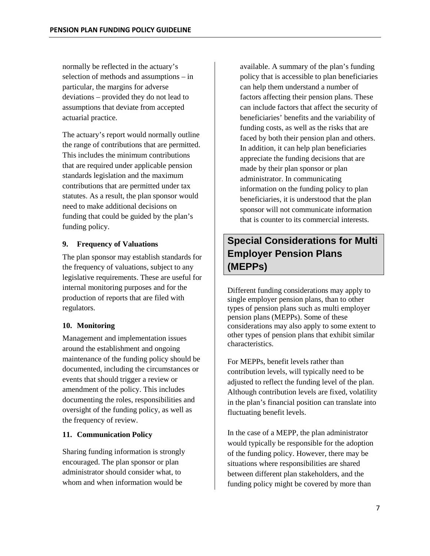normally be reflected in the actuary's selection of methods and assumptions – in particular, the margins for adverse deviations – provided they do not lead to assumptions that deviate from accepted actuarial practice.

The actuary's report would normally outline the range of contributions that are permitted. This includes the minimum contributions that are required under applicable pension standards legislation and the maximum contributions that are permitted under tax statutes. As a result, the plan sponsor would need to make additional decisions on funding that could be guided by the plan's funding policy.

#### **9. Frequency of Valuations**

The plan sponsor may establish standards for the frequency of valuations, subject to any legislative requirements. These are useful for internal monitoring purposes and for the production of reports that are filed with regulators.

#### **10. Monitoring**

Management and implementation issues around the establishment and ongoing maintenance of the funding policy should be documented, including the circumstances or events that should trigger a review or amendment of the policy. This includes documenting the roles, responsibilities and oversight of the funding policy, as well as the frequency of review.

#### **11. Communication Policy**

Sharing funding information is strongly encouraged. The plan sponsor or plan administrator should consider what, to whom and when information would be

available. A summary of the plan's funding policy that is accessible to plan beneficiaries can help them understand a number of factors affecting their pension plans. These can include factors that affect the security of beneficiaries' benefits and the variability of funding costs, as well as the risks that are faced by both their pension plan and others. In addition, it can help plan beneficiaries appreciate the funding decisions that are made by their plan sponsor or plan administrator. In communicating information on the funding policy to plan beneficiaries, it is understood that the plan sponsor will not communicate information that is counter to its commercial interests.

## **Special Considerations for Multi Employer Pension Plans (MEPPs)**

Different funding considerations may apply to single employer pension plans, than to other types of pension plans such as multi employer pension plans (MEPPs). Some of these considerations may also apply to some extent to other types of pension plans that exhibit similar characteristics.

For MEPPs, benefit levels rather than contribution levels, will typically need to be adjusted to reflect the funding level of the plan. Although contribution levels are fixed, volatility in the plan's financial position can translate into fluctuating benefit levels.

In the case of a MEPP, the plan administrator would typically be responsible for the adoption of the funding policy. However, there may be situations where responsibilities are shared between different plan stakeholders, and the funding policy might be covered by more than